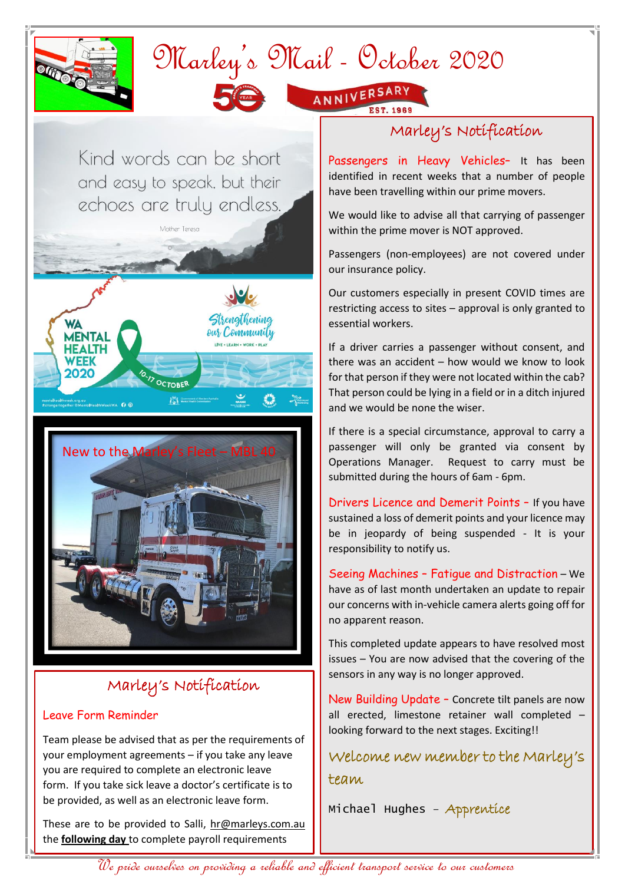

## Marley's Mail - October 2020



ANNIVERSARY

Kind words can be short and easy to speak, but their echoes are truly endless.

Mother Teresa





## Marley's Notification

## Leave Form Reminder

Team please be advised that as per the requirements of your employment agreements – if you take any leave you are required to complete an electronic leave form. If you take sick leave a doctor's certificate is to be provided, as well as an electronic leave form.

These are to be provided to Salli, [hr@marleys.com.au](mailto:hr@marleys.com.au) the **following day** to complete payroll requirements

## Marley's Notification

Passengers in Heavy Vehicles- It has been identified in recent weeks that a number of people have been travelling within our prime movers.

We would like to advise all that carrying of passenger within the prime mover is NOT approved.

Passengers (non-employees) are not covered under our insurance policy.

Our customers especially in present COVID times are restricting access to sites – approval is only granted to essential workers.

If a driver carries a passenger without consent, and there was an accident – how would we know to look for that person if they were not located within the cab? That person could be lying in a field or in a ditch injured and we would be none the wiser.

If there is a special circumstance, approval to carry a passenger will only be granted via consent by Operations Manager. Request to carry must be submitted during the hours of 6am - 6pm.

Drivers Licence and Demerit Points – If you have sustained a loss of demerit points and your licence may be in jeopardy of being suspended - It is your responsibility to notify us.

Seeing Machines – Fatigue and Distraction – We have as of last month undertaken an update to repair our concerns with in-vehicle camera alerts going off for no apparent reason.

This completed update appears to have resolved most issues – You are now advised that the covering of the sensors in any way is no longer approved.

New Building Update – Concrete tilt panels are now all erected, limestone retainer wall completed – looking forward to the next stages. Exciting!!

Welcome new member to the Marley's team

Michael Hughes – Apprentice

We pride ourselves on providing a reliable and efficient transport service to our customers